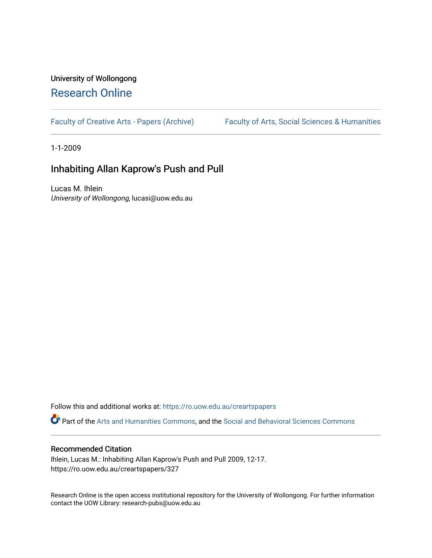## University of Wollongong [Research Online](https://ro.uow.edu.au/)

[Faculty of Creative Arts - Papers \(Archive\)](https://ro.uow.edu.au/creartspapers) Faculty of Arts, Social Sciences & Humanities

1-1-2009

## Inhabiting Allan Kaprow's Push and Pull

Lucas M. Ihlein University of Wollongong, lucasi@uow.edu.au

Follow this and additional works at: [https://ro.uow.edu.au/creartspapers](https://ro.uow.edu.au/creartspapers?utm_source=ro.uow.edu.au%2Fcreartspapers%2F327&utm_medium=PDF&utm_campaign=PDFCoverPages) 

Part of the [Arts and Humanities Commons,](http://network.bepress.com/hgg/discipline/438?utm_source=ro.uow.edu.au%2Fcreartspapers%2F327&utm_medium=PDF&utm_campaign=PDFCoverPages) and the [Social and Behavioral Sciences Commons](http://network.bepress.com/hgg/discipline/316?utm_source=ro.uow.edu.au%2Fcreartspapers%2F327&utm_medium=PDF&utm_campaign=PDFCoverPages)

#### Recommended Citation

Ihlein, Lucas M.: Inhabiting Allan Kaprow's Push and Pull 2009, 12-17. https://ro.uow.edu.au/creartspapers/327

Research Online is the open access institutional repository for the University of Wollongong. For further information contact the UOW Library: research-pubs@uow.edu.au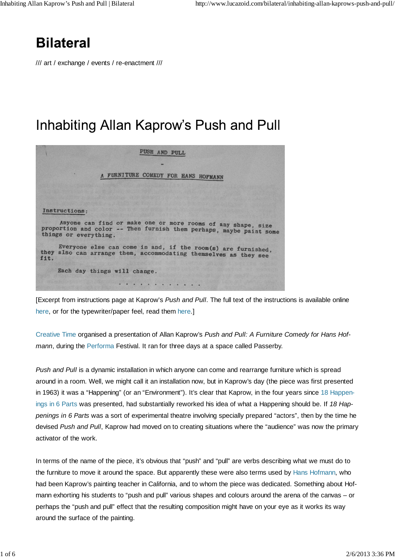# **Bilateral**

/// art / exchange / events / re-enactment ///

# Inhabiting Allan Kaprow's Push and Pull

PUSH AND PULL A FURNITURE COMEDY FOR HANS HOPMANN Instructions: Anyone can find or make one or more rooms of any shape, size proportion and color -- Then furnish them perhaps, maybe paint some things or everything. Everyone else can come in and, if the room(s) are furnished. Everyone eise can come in and, if the room(s) are furnished<br>they also can arrange them, accommodating themselves as they see fit. Each day things will change. . . . . . . . . . . . .

[Excerpt from instructions page at Kaprow's *Push and Pull*. The full text of the instructions is available online here, or for the typewriter/paper feel, read them here.]

Creative Time organised a presentation of Allan Kaprow's *Push and Pull: A Furniture Comedy for Hans Hofmann*, during the Performa Festival. It ran for three days at a space called Passerby.

*Push and Pull* is a dynamic installation in which anyone can come and rearrange furniture which is spread around in a room. Well, we might call it an installation now, but in Kaprow's day (the piece was first presented in 1963) it was a "Happening" (or an "Environment"). It's clear that Kaprow, in the four years since 18 Happenings in 6 Parts was presented, had substantially reworked his idea of what a Happening should be. If *18 Happenings in 6 Parts* was a sort of experimental theatre involving specially prepared "actors", then by the time he devised *Push and Pull*, Kaprow had moved on to creating situations where the "audience" was now the primary activator of the work.

In terms of the name of the piece, it's obvious that "push" and "pull" are verbs describing what we must do to the furniture to move it around the space. But apparently these were also terms used by Hans Hofmann, who had been Kaprow's painting teacher in California, and to whom the piece was dedicated. Something about Hofmann exhorting his students to "push and pull" various shapes and colours around the arena of the canvas – or perhaps the "push and pull" effect that the resulting composition might have on your eye as it works its way around the surface of the painting.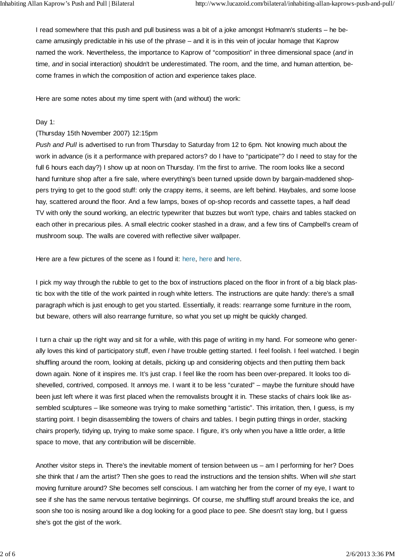I read somewhere that this push and pull business was a bit of a joke amongst Hofmann's students – he became amusingly predictable in his use of the phrase – and it is in this vein of jocular homage that Kaprow named the work. Nevertheless, the importance to Kaprow of "composition" in three dimensional space (*and* in time, *and* in social interaction) shouldn't be underestimated. The room, and the time, and human attention, become frames in which the composition of action and experience takes place.

Here are some notes about my time spent with (and without) the work:

## Day 1:

## (Thursday 15th November 2007) 12:15pm

*Push and Pull* is advertised to run from Thursday to Saturday from 12 to 6pm. Not knowing much about the work in advance (is it a performance with prepared actors? do I have to "participate"? do I need to stay for the full 6 hours each day?) I show up at noon on Thursday. I'm the first to arrive. The room looks like a second hand furniture shop after a fire sale, where everything's been turned upside down by bargain-maddened shoppers trying to get to the good stuff: only the crappy items, it seems, are left behind. Haybales, and some loose hay, scattered around the floor. And a few lamps, boxes of op-shop records and cassette tapes, a half dead TV with only the sound working, an electric typewriter that buzzes but won't type, chairs and tables stacked on each other in precarious piles. A small electric cooker stashed in a draw, and a few tins of Campbell's cream of mushroom soup. The walls are covered with reflective silver wallpaper.

Here are a few pictures of the scene as I found it: here, here and here.

I pick my way through the rubble to get to the box of instructions placed on the floor in front of a big black plastic box with the title of the work painted in rough white letters. The instructions are quite handy: there's a small paragraph which is just enough to get you started. Essentially, it reads: rearrange some furniture in the room, but beware, others will also rearrange furniture, so what you set up might be quickly changed.

I turn a chair up the right way and sit for a while, with this page of writing in my hand. For someone who generally loves this kind of participatory stuff, even *I* have trouble getting started. I feel foolish. I feel watched. I begin shuffling around the room, looking at details, picking up and considering objects and then putting them back down again. None of it inspires me. It's just crap. I feel like the room has been over-prepared. It looks too dishevelled, contrived, composed. It annoys me. I want it to be less "curated" – maybe the furniture should have been just left where it was first placed when the removalists brought it in. These stacks of chairs look like assembled sculptures – like someone was trying to make something "artistic". This irritation, then, I guess, is my starting point. I begin disassembling the towers of chairs and tables. I begin putting things in order, stacking chairs properly, tidying up, trying to make some space. I figure, it's only when you have a little order, a little space to move, that any contribution will be discernible.

Another visitor steps in. There's the inevitable moment of tension between us – am I performing for her? Does she think that *I* am the artist? Then she goes to read the instructions and the tension shifts. When will *she* start moving furniture around? She becomes self conscious. I am watching her from the corner of my eye, I want to see if she has the same nervous tentative beginnings. Of course, me shuffling stuff around breaks the ice, and soon she too is nosing around like a dog looking for a good place to pee. She doesn't stay long, but I guess she's got the gist of the work.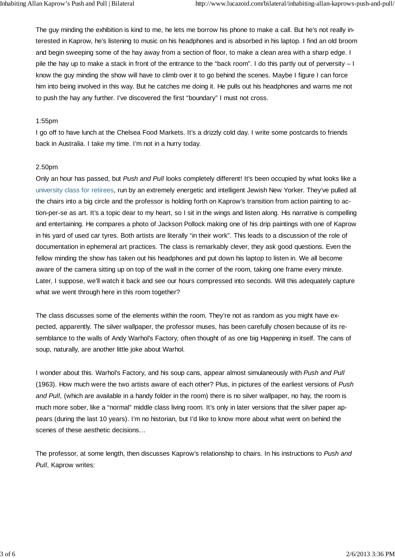The guy minding the exhibition is kind to me, he lets me borrow his phone to make a call. But he's not really interested in Kaprow, he's listening to music on his headphones and is absorbed in his laptop. I find an old broom and begin sweeping some of the hay away from a section of floor, to make a clean area with a sharp edge. I pile the hay up to make a stack in front of the entrance to the "back room". I do this partly out of perversity – I know the guy minding the show will have to climb over it to go behind the scenes. Maybe I figure I can force him into being involved in this way. But he catches me doing it. He pulls out his headphones and warns me not to push the hay any further. I've discovered the first "boundary" I must not cross.

### 1:55pm

I go off to have lunch at the Chelsea Food Markets. It's a drizzly cold day. I write some postcards to friends back in Australia. I take my time. I'm not in a hurry today.

## 2.50pm

Only an hour has passed, but *Push and Pull* looks completely different! It's been occupied by what looks like a university class for retirees, run by an extremely energetic and intelligent Jewish New Yorker. They've pulled all the chairs into a big circle and the professor is holding forth on Kaprow's transition from action painting to action-per-se as art. It's a topic dear to my heart, so I sit in the wings and listen along. His narrative is compelling and entertaining. He compares a photo of Jackson Pollock making one of his drip paintings with one of Kaprow in his yard of used car tyres. Both artists are literally "in their work". This leads to a discussion of the role of documentation in ephemeral art practices. The class is remarkably clever, they ask good questions. Even the fellow minding the show has taken out his headphones and put down his laptop to listen in. We all become aware of the camera sitting up on top of the wall in the corner of the room, taking one frame every minute. Later, I suppose, we'll watch it back and see our hours compressed into seconds. Will this adequately capture what we went through here in this room together?

The class discusses some of the elements within the room. They're not as random as you might have expected, apparently. The silver wallpaper, the professor muses, has been carefully chosen because of its resemblance to the walls of Andy Warhol's Factory, often thought of as one big Happening in itself. The cans of soup, naturally, are another little joke about Warhol.

I wonder about this. Warhol's Factory, and his soup cans, appear almost simulaneously with *Push and Pull* (1963). How much were the two artists aware of each other? Plus, in pictures of the earliest versions of *Push and Pull*, (which are available in a handy folder in the room) there is no silver wallpaper, no hay, the room is much more sober, like a "normal" middle class living room. It's only in later versions that the silver paper appears (during the last 10 years). I'm no historian, but I'd like to know more about what went on behind the scenes of these aesthetic decisions…

The professor, at some length, then discusses Kaprow's relationship to chairs. In his instructions to *Push and Pull*, Kaprow writes: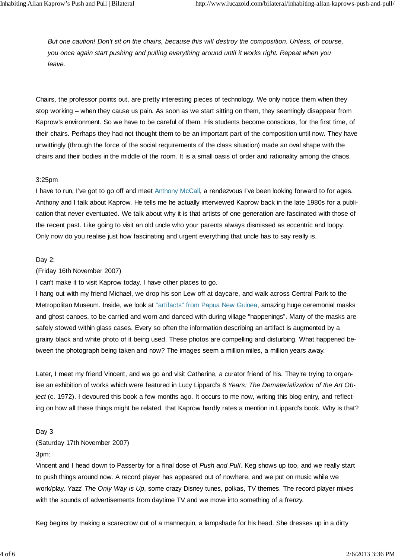*But one caution! Don't sit on the chairs, because this will destroy the composition. Unless, of course, you once again start pushing and pulling everything around until it works right. Repeat when you leave.*

Chairs, the professor points out, are pretty interesting pieces of technology. We only notice them when they stop working – when they cause us pain. As soon as we start sitting on them, they seemingly disappear from Kaprow's environment. So we have to be careful of them. His students become conscious, for the first time, of their chairs. Perhaps they had not thought them to be an important part of the composition until now. They have unwittingly (through the force of the social requirements of the class situation) made an oval shape with the chairs and their bodies in the middle of the room. It is a small oasis of order and rationality among the chaos.

#### 3:25pm

I have to run, I've got to go off and meet Anthony McCall, a rendezvous I've been looking forward to for ages. Anthony and I talk about Kaprow. He tells me he actually interviewed Kaprow back in the late 1980s for a publication that never eventuated. We talk about why it is that artists of one generation are fascinated with those of the recent past. Like going to visit an old uncle who your parents always dismissed as eccentric and loopy. Only now do you realise just how fascinating and urgent everything that uncle has to say really is.

#### Day 2:

(Friday 16th November 2007)

I can't make it to visit Kaprow today. I have other places to go.

I hang out with my friend Michael, we drop his son Lew off at daycare, and walk across Central Park to the Metropolitan Museum. Inside, we look at "artifacts" from Papua New Guinea, amazing huge ceremonial masks and ghost canoes, to be carried and worn and danced with during village "happenings". Many of the masks are safely stowed within glass cases. Every so often the information describing an artifact is augmented by a grainy black and white photo of it being used. These photos are compelling and disturbing. What happened between the photograph being taken and now? The images seem a million miles, a million years away.

Later, I meet my friend Vincent, and we go and visit Catherine, a curator friend of his. They're trying to organise an exhibition of works which were featured in Lucy Lippard's *6 Years: The Dematerialization of the Art Object* (c. 1972). I devoured this book a few months ago. It occurs to me now, writing this blog entry, and reflecting on how all these things might be related, that Kaprow hardly rates a mention in Lippard's book. Why is that?

#### Day 3

(Saturday 17th November 2007)

#### 3pm:

Vincent and I head down to Passerby for a final dose of *Push and Pull.* Keg shows up too, and we really start to push things around now. A record player has appeared out of nowhere, and we put on music while we work/play. Yazz' *The Only Way is Up*, some crazy Disney tunes, polkas, TV themes. The record player mixes with the sounds of advertisements from daytime TV and we move into something of a frenzy.

Keg begins by making a scarecrow out of a mannequin, a lampshade for his head. She dresses up in a dirty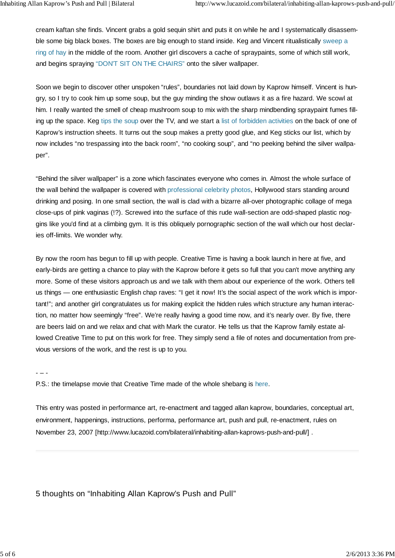cream kaftan she finds. Vincent grabs a gold sequin shirt and puts it on while he and I systematically disassemble some big black boxes. The boxes are big enough to stand inside. Keg and Vincent ritualistically sweep a ring of hay in the middle of the room. Another girl discovers a cache of spraypaints, some of which still work, and begins spraying "DON'T SIT ON THE CHAIRS" onto the silver wallpaper.

Soon we begin to discover other unspoken "rules", boundaries not laid down by Kaprow himself. Vincent is hungry, so I try to cook him up some soup, but the guy minding the show outlaws it as a fire hazard. We scowl at him. I really wanted the smell of cheap mushroom soup to mix with the sharp mindbending spraypaint fumes filling up the space. Keg tips the soup over the TV, and we start a list of forbidden activities on the back of one of Kaprow's instruction sheets. It turns out the soup makes a pretty good glue, and Keg sticks our list, which by now includes "no trespassing into the back room", "no cooking soup", and "no peeking behind the silver wallpaper".

"Behind the silver wallpaper" is a zone which fascinates everyone who comes in. Almost the whole surface of the wall behind the wallpaper is covered with professional celebrity photos, Hollywood stars standing around drinking and posing. In one small section, the wall is clad with a bizarre all-over photographic collage of mega close-ups of pink vaginas (!?). Screwed into the surface of this rude wall-section are odd-shaped plastic noggins like you'd find at a climbing gym. It is this obliquely pornographic section of the wall which our host declaries off-limits. We wonder why.

By now the room has begun to fill up with people. Creative Time is having a book launch in here at five, and early-birds are getting a chance to play with the Kaprow before it gets so full that you can't move anything any more. Some of these visitors approach us and we talk with them about our experience of the work. Others tell us things — one enthusiastic English chap raves: "I get it now! It's the social aspect of the work which is important!"; and another girl congratulates us for making explicit the hidden rules which structure any human interaction, no matter how seemingly "free". We're really having a good time now, and it's nearly over. By five, there are beers laid on and we relax and chat with Mark the curator. He tells us that the Kaprow family estate allowed Creative Time to put on this work for free. They simply send a file of notes and documentation from previous versions of the work, and the rest is up to you.

- – -

P.S.: the timelapse movie that Creative Time made of the whole shebang is here.

This entry was posted in performance art, re-enactment and tagged allan kaprow, boundaries, conceptual art, environment, happenings, instructions, performa, performance art, push and pull, re-enactment, rules on November 23, 2007 [http://www.lucazoid.com/bilateral/inhabiting-allan-kaprows-push-and-pull/] .

## 5 thoughts on "Inhabiting Allan Kaprow's Push and Pull"